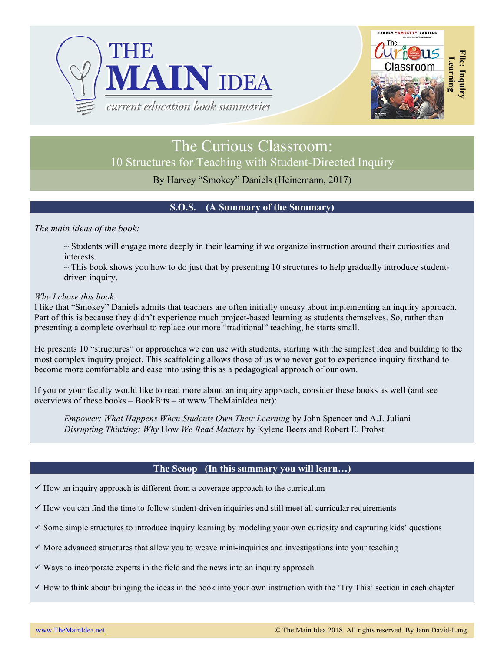



# The Curious Classroom: 10 Structures for Teaching with Student-Directed Inquiry

By Harvey "Smokey" Daniels (Heinemann, 2017)

### **S.O.S. (A Summary of the Summary)**

*The main ideas of the book:*

 $\sim$  Students will engage more deeply in their learning if we organize instruction around their curiosities and interests.

 $\sim$  This book shows you how to do just that by presenting 10 structures to help gradually introduce studentdriven inquiry.

### *Why I chose this book:*

I like that "Smokey" Daniels admits that teachers are often initially uneasy about implementing an inquiry approach. Part of this is because they didn't experience much project-based learning as students themselves. So, rather than presenting a complete overhaul to replace our more "traditional" teaching, he starts small.

He presents 10 "structures" or approaches we can use with students, starting with the simplest idea and building to the most complex inquiry project. This scaffolding allows those of us who never got to experience inquiry firsthand to become more comfortable and ease into using this as a pedagogical approach of our own.

If you or your faculty would like to read more about an inquiry approach, consider these books as well (and see overviews of these books – BookBits – at www.TheMainIdea.net):

*Empower: What Happens When Students Own Their Learning* by John Spencer and A.J. Juliani *Disrupting Thinking: Why* How *We Read Matters* by Kylene Beers and Robert E. Probst

### **The Scoop (In this summary you will learn…)**

 $\checkmark$  How an inquiry approach is different from a coverage approach to the curriculum

 $\checkmark$  How you can find the time to follow student-driven inquiries and still meet all curricular requirements

 $\checkmark$  Some simple structures to introduce inquiry learning by modeling your own curiosity and capturing kids' questions

 $\checkmark$  More advanced structures that allow you to weave mini-inquiries and investigations into your teaching

 $\checkmark$  Ways to incorporate experts in the field and the news into an inquiry approach

 $\checkmark$  How to think about bringing the ideas in the book into your own instruction with the 'Try This' section in each chapter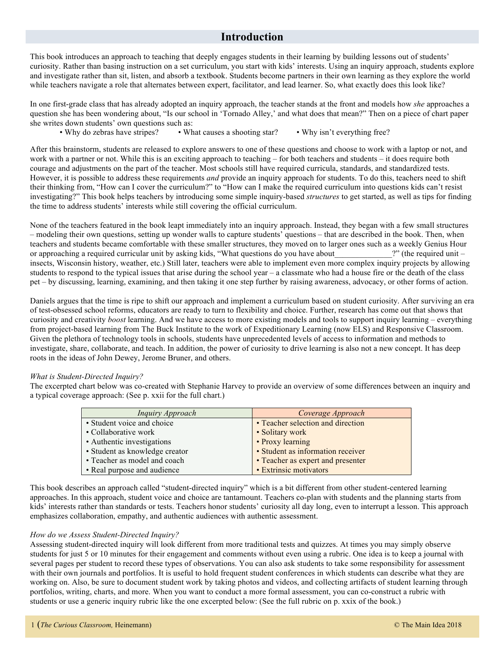### **Introduction**

This book introduces an approach to teaching that deeply engages students in their learning by building lessons out of students' curiosity. Rather than basing instruction on a set curriculum, you start with kids' interests. Using an inquiry approach, students explore and investigate rather than sit, listen, and absorb a textbook. Students become partners in their own learning as they explore the world while teachers navigate a role that alternates between expert, facilitator, and lead learner. So, what exactly does this look like?

In one first-grade class that has already adopted an inquiry approach, the teacher stands at the front and models how *she* approaches a question she has been wondering about, "Is our school in 'Tornado Alley,' and what does that mean?" Then on a piece of chart paper she writes down students' own questions such as:

• Why do zebras have stripes? • What causes a shooting star? • Why isn't everything free?

After this brainstorm, students are released to explore answers to one of these questions and choose to work with a laptop or not, and work with a partner or not. While this is an exciting approach to teaching – for both teachers and students – it does require both courage and adjustments on the part of the teacher. Most schools still have required curricula, standards, and standardized tests. However, it is possible to address these requirements *and* provide an inquiry approach for students. To do this, teachers need to shift their thinking from, "How can I cover the curriculum?" to "How can I make the required curriculum into questions kids can't resist investigating?" This book helps teachers by introducing some simple inquiry-based *structures* to get started, as well as tips for finding the time to address students' interests while still covering the official curriculum.

None of the teachers featured in the book leapt immediately into an inquiry approach. Instead, they began with a few small structures – modeling their own questions, setting up wonder walls to capture students' questions – that are described in the book. Then, when teachers and students became comfortable with these smaller structures, they moved on to larger ones such as a weekly Genius Hour or approaching a required curricular unit by asking kids, "What questions do you have about ?" (the required unit – insects, Wisconsin history, weather, etc.) Still later, teachers were able to implement even more complex inquiry projects by allowing students to respond to the typical issues that arise during the school year – a classmate who had a house fire or the death of the class pet – by discussing, learning, examining, and then taking it one step further by raising awareness, advocacy, or other forms of action.

Daniels argues that the time is ripe to shift our approach and implement a curriculum based on student curiosity. After surviving an era of test-obsessed school reforms, educators are ready to turn to flexibility and choice. Further, research has come out that shows that curiosity and creativity *boost* learning. And we have access to more existing models and tools to support inquiry learning – everything from project-based learning from The Buck Institute to the work of Expeditionary Learning (now ELS) and Responsive Classroom. Given the plethora of technology tools in schools, students have unprecedented levels of access to information and methods to investigate, share, collaborate, and teach. In addition, the power of curiosity to drive learning is also not a new concept. It has deep roots in the ideas of John Dewey, Jerome Bruner, and others.

#### *What is Student-Directed Inquiry?*

The excerpted chart below was co-created with Stephanie Harvey to provide an overview of some differences between an inquiry and a typical coverage approach: (See p. xxii for the full chart.)

| Inquiry Approach               | Coverage Approach                 |
|--------------------------------|-----------------------------------|
| • Student voice and choice     | • Teacher selection and direction |
| • Collaborative work           | • Solitary work                   |
| • Authentic investigations     | • Proxy learning                  |
| • Student as knowledge creator | • Student as information receiver |
| • Teacher as model and coach   | • Teacher as expert and presenter |
| • Real purpose and audience    | • Extrinsic motivators            |

This book describes an approach called "student-directed inquiry" which is a bit different from other student-centered learning approaches. In this approach, student voice and choice are tantamount. Teachers co-plan with students and the planning starts from kids' interests rather than standards or tests. Teachers honor students' curiosity all day long, even to interrupt a lesson. This approach emphasizes collaboration, empathy, and authentic audiences with authentic assessment.

#### *How do we Assess Student-Directed Inquiry?*

Assessing student-directed inquiry will look different from more traditional tests and quizzes. At times you may simply observe students for just 5 or 10 minutes for their engagement and comments without even using a rubric. One idea is to keep a journal with several pages per student to record these types of observations. You can also ask students to take some responsibility for assessment with their own journals and portfolios. It is useful to hold frequent student conferences in which students can describe what they are working on. Also, be sure to document student work by taking photos and videos, and collecting artifacts of student learning through portfolios, writing, charts, and more. When you want to conduct a more formal assessment, you can co-construct a rubric with students or use a generic inquiry rubric like the one excerpted below: (See the full rubric on p. xxix of the book.)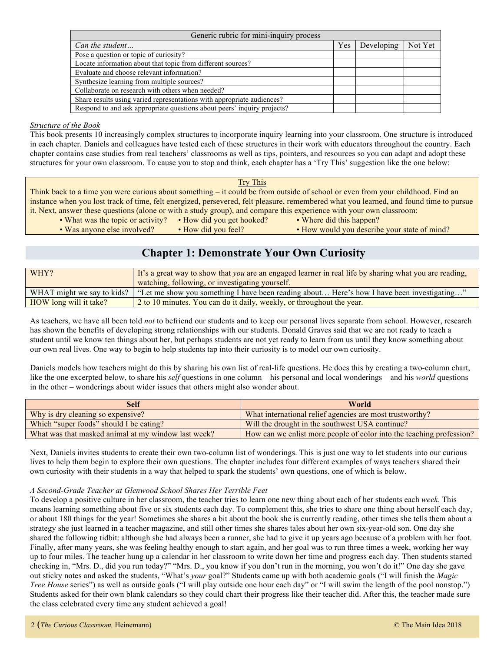| Generic rubric for mini-inquiry process                                 |     |            |         |
|-------------------------------------------------------------------------|-----|------------|---------|
| Can the student                                                         | Yes | Developing | Not Yet |
| Pose a question or topic of curiosity?                                  |     |            |         |
| Locate information about that topic from different sources?             |     |            |         |
| Evaluate and choose relevant information?                               |     |            |         |
| Synthesize learning from multiple sources?                              |     |            |         |
| Collaborate on research with others when needed?                        |     |            |         |
| Share results using varied representations with appropriate audiences?  |     |            |         |
| Respond to and ask appropriate questions about peers' inquiry projects? |     |            |         |

#### *Structure of the Book*

This book presents 10 increasingly complex structures to incorporate inquiry learning into your classroom. One structure is introduced in each chapter. Daniels and colleagues have tested each of these structures in their work with educators throughout the country. Each chapter contains case studies from real teachers' classrooms as well as tips, pointers, and resources so you can adapt and adopt these structures for your own classroom. To cause you to stop and think, each chapter has a 'Try This' suggestion like the one below:

#### Try This

Think back to a time you were curious about something – it could be from outside of school or even from your childhood. Find an instance when you lost track of time, felt energized, persevered, felt pleasure, remembered what you learned, and found time to pursue it. Next, answer these questions (alone or with a study group), and compare this experience with your own classroom:

- What was the topic or activity? How did you get hooked? Where did this happen?
- Was anyone else involved? How did you feel? How would you describe your state of mind?
- 

### **Chapter 1: Demonstrate Your Own Curiosity**

| WHY?                       | If it's a great way to show that you are an engaged learner in real life by sharing what you are reading,<br>watching, following, or investigating yourself. |
|----------------------------|--------------------------------------------------------------------------------------------------------------------------------------------------------------|
| WHAT might we say to kids? | "Let me show you something I have been reading about Here's how I have been investigating"                                                                   |
| HOW long will it take?     | 2 to 10 minutes. You can do it daily, weekly, or throughout the year.                                                                                        |

As teachers, we have all been told *not* to befriend our students and to keep our personal lives separate from school. However, research has shown the benefits of developing strong relationships with our students. Donald Graves said that we are not ready to teach a student until we know ten things about her, but perhaps students are not yet ready to learn from us until they know something about our own real lives. One way to begin to help students tap into their curiosity is to model our own curiosity.

Daniels models how teachers might do this by sharing his own list of real-life questions. He does this by creating a two-column chart, like the one excerpted below, to share his *self* questions in one column – his personal and local wonderings – and his *world* questions in the other – wonderings about wider issues that others might also wonder about.

| <b>Self</b>                                         | World                                                                |
|-----------------------------------------------------|----------------------------------------------------------------------|
| Why is dry cleaning so expensive?                   | What international relief agencies are most trustworthy?             |
| Which "super foods" should I be eating?             | Will the drought in the southwest USA continue?                      |
| What was that masked animal at my window last week? | How can we enlist more people of color into the teaching profession? |

Next, Daniels invites students to create their own two-column list of wonderings. This is just one way to let students into our curious lives to help them begin to explore their own questions. The chapter includes four different examples of ways teachers shared their own curiosity with their students in a way that helped to spark the students' own questions, one of which is below.

#### *A Second-Grade Teacher at Glenwood School Shares Her Terrible Feet*

To develop a positive culture in her classroom, the teacher tries to learn one new thing about each of her students each *week*. This means learning something about five or six students each day. To complement this, she tries to share one thing about herself each day, or about 180 things for the year! Sometimes she shares a bit about the book she is currently reading, other times she tells them about a strategy she just learned in a teacher magazine, and still other times she shares tales about her own six-year-old son. One day she shared the following tidbit: although she had always been a runner, she had to give it up years ago because of a problem with her foot. Finally, after many years, she was feeling healthy enough to start again, and her goal was to run three times a week, working her way up to four miles. The teacher hung up a calendar in her classroom to write down her time and progress each day. Then students started checking in, "Mrs. D., did you run today?" "Mrs. D., you know if you don't run in the morning, you won't do it!" One day she gave out sticky notes and asked the students, "What's *your* goal?" Students came up with both academic goals ("I will finish the *Magic Tree House* series") as well as outside goals ("I will play outside one hour each day" or "I will swim the length of the pool nonstop.") Students asked for their own blank calendars so they could chart their progress like their teacher did. After this, the teacher made sure the class celebrated every time any student achieved a goal!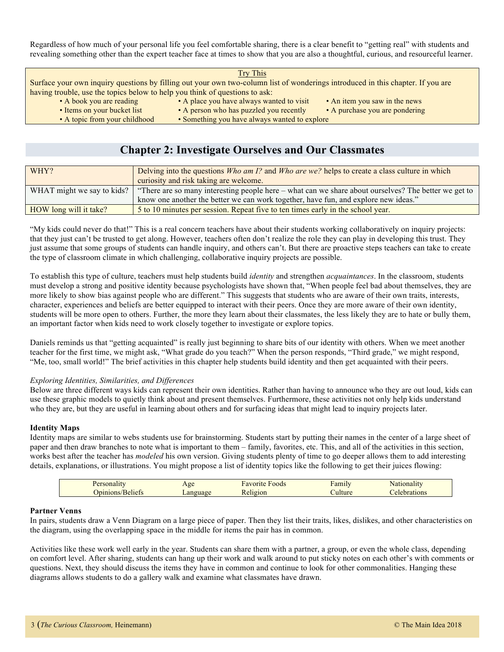Regardless of how much of your personal life you feel comfortable sharing, there is a clear benefit to "getting real" with students and revealing something other than the expert teacher face at times to show that you are also a thoughtful, curious, and resourceful learner.

Try This

|                                                                             | Surface your own inquiry questions by filling out your own two-column list of wonderings introduced in this chapter. If you are |                               |
|-----------------------------------------------------------------------------|---------------------------------------------------------------------------------------------------------------------------------|-------------------------------|
| having trouble, use the topics below to help you think of questions to ask: |                                                                                                                                 |                               |
| • A book you are reading                                                    | • A place you have always wanted to visit                                                                                       | • An item you saw in the news |

- 
- Items on your bucket list A person who has puzzled you recently A purchase you are pondering
- 
- 
- 
- 
- 
- A topic from your childhood Something you have always wanted to explore

### **Chapter 2: Investigate Ourselves and Our Classmates**

| WHY?                       | Delving into the questions <i>Who am 1?</i> and <i>Who are we?</i> helps to create a class culture in which<br>curiosity and risk taking are welcome. |
|----------------------------|-------------------------------------------------------------------------------------------------------------------------------------------------------|
| WHAT might we say to kids? | "There are so many interesting people here – what can we share about ourselves? The better we get to                                                  |
|                            | know one another the better we can work together, have fun, and explore new ideas."                                                                   |
| HOW long will it take?     | 5 to 10 minutes per session. Repeat five to ten times early in the school year.                                                                       |

"My kids could never do that!" This is a real concern teachers have about their students working collaboratively on inquiry projects: that they just can't be trusted to get along. However, teachers often don't realize the role they can play in developing this trust. They just assume that some groups of students can handle inquiry, and others can't. But there are proactive steps teachers can take to create the type of classroom climate in which challenging, collaborative inquiry projects are possible.

To establish this type of culture, teachers must help students build *identity* and strengthen *acquaintances*. In the classroom, students must develop a strong and positive identity because psychologists have shown that, "When people feel bad about themselves, they are more likely to show bias against people who are different." This suggests that students who are aware of their own traits, interests, character, experiences and beliefs are better equipped to interact with their peers. Once they are more aware of their own identity, students will be more open to others. Further, the more they learn about their classmates, the less likely they are to hate or bully them, an important factor when kids need to work closely together to investigate or explore topics.

Daniels reminds us that "getting acquainted" is really just beginning to share bits of our identity with others. When we meet another teacher for the first time, we might ask, "What grade do you teach?" When the person responds, "Third grade," we might respond, "Me, too, small world!" The brief activities in this chapter help students build identity and then get acquainted with their peers.

#### *Exploring Identities, Similarities, and Differences*

Below are three different ways kids can represent their own identities. Rather than having to announce who they are out loud, kids can use these graphic models to quietly think about and present themselves. Furthermore, these activities not only help kids understand who they are, but they are useful in learning about others and for surfacing ideas that might lead to inquiry projects later.

#### **Identity Maps**

Identity maps are similar to webs students use for brainstorming. Students start by putting their names in the center of a large sheet of paper and then draw branches to note what is important to them – family, favorites, etc. This, and all of the activities in this section, works best after the teacher has *modeled* his own version. Giving students plenty of time to go deeper allows them to add interesting details, explanations, or illustrations. You might propose a list of identity topics like the following to get their juices flowing:

| $\cdots$<br>$\sim$ $\mu$ | Age             | $\sim$<br>≁avorit<br>roods | $\overline{\phantom{0}}$<br><br>Family | эна                         |
|--------------------------|-----------------|----------------------------|----------------------------------------|-----------------------------|
| - 20                     | $\sim$<br>7100L | 11210n                     |                                        | <b>TONS</b><br>$\mathbf{P}$ |

#### **Partner Venns**

In pairs, students draw a Venn Diagram on a large piece of paper. Then they list their traits, likes, dislikes, and other characteristics on the diagram, using the overlapping space in the middle for items the pair has in common.

Activities like these work well early in the year. Students can share them with a partner, a group, or even the whole class, depending on comfort level. After sharing, students can hang up their work and walk around to put sticky notes on each other's with comments or questions. Next, they should discuss the items they have in common and continue to look for other commonalities. Hanging these diagrams allows students to do a gallery walk and examine what classmates have drawn.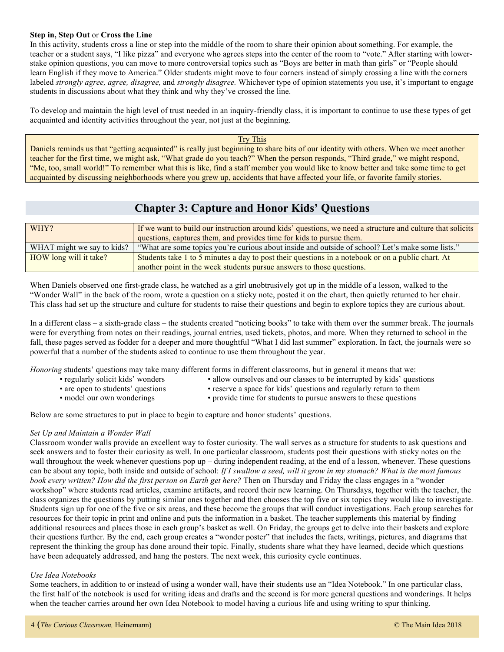#### **Step in, Step Out** or **Cross the Line**

In this activity, students cross a line or step into the middle of the room to share their opinion about something. For example, the teacher or a student says, "I like pizza" and everyone who agrees steps into the center of the room to "vote." After starting with lowerstake opinion questions, you can move to more controversial topics such as "Boys are better in math than girls" or "People should learn English if they move to America." Older students might move to four corners instead of simply crossing a line with the corners labeled *strongly agree, agree, disagree,* and *strongly disagree.* Whichever type of opinion statements you use, it's important to engage students in discussions about what they think and why they've crossed the line.

To develop and maintain the high level of trust needed in an inquiry-friendly class, it is important to continue to use these types of get acquainted and identity activities throughout the year, not just at the beginning.

Try This

Daniels reminds us that "getting acquainted" is really just beginning to share bits of our identity with others. When we meet another teacher for the first time, we might ask, "What grade do you teach?" When the person responds, "Third grade," we might respond, "Me, too, small world!" To remember what this is like, find a staff member you would like to know better and take some time to get acquainted by discussing neighborhoods where you grew up, accidents that have affected your life, or favorite family stories.

## **Chapter 3: Capture and Honor Kids' Questions**

| WHY?                       | If we want to build our instruction around kids' questions, we need a structure and culture that solicits<br>questions, captures them, and provides time for kids to pursue them. |
|----------------------------|-----------------------------------------------------------------------------------------------------------------------------------------------------------------------------------|
| WHAT might we say to kids? | "What are some topics you're curious about inside and outside of school? Let's make some lists."                                                                                  |
| HOW long will it take?     | Students take 1 to 5 minutes a day to post their questions in a notebook or on a public chart. At                                                                                 |
|                            | another point in the week students pursue answers to those questions.                                                                                                             |

When Daniels observed one first-grade class, he watched as a girl unobtrusively got up in the middle of a lesson, walked to the "Wonder Wall" in the back of the room, wrote a question on a sticky note, posted it on the chart, then quietly returned to her chair. This class had set up the structure and culture for students to raise their questions and begin to explore topics they are curious about.

In a different class – a sixth-grade class – the students created "noticing books" to take with them over the summer break. The journals were for everything from notes on their readings, journal entries, used tickets, photos, and more. When they returned to school in the fall, these pages served as fodder for a deeper and more thoughtful "What I did last summer" exploration. In fact, the journals were so powerful that a number of the students asked to continue to use them throughout the year.

*Honoring* students' questions may take many different forms in different classrooms, but in general it means that we:

- 
- regularly solicit kids' wonders allow ourselves and our classes to be interrupted by kids' questions
- 
- are open to students' questions reserve a space for kids' questions and regularly return to them
- 
- model our own wonderings provide time for students to pursue answers to these questions

Below are some structures to put in place to begin to capture and honor students' questions.

#### *Set Up and Maintain a Wonder Wall*

Classroom wonder walls provide an excellent way to foster curiosity. The wall serves as a structure for students to ask questions and seek answers and to foster their curiosity as well. In one particular classroom, students post their questions with sticky notes on the wall throughout the week whenever questions pop up – during independent reading, at the end of a lesson, whenever. These questions can be about any topic, both inside and outside of school: *If I swallow a seed, will it grow in my stomach? What is the most famous book every written? How did the first person on Earth get here?* Then on Thursday and Friday the class engages in a "wonder workshop" where students read articles, examine artifacts, and record their new learning. On Thursdays, together with the teacher, the class organizes the questions by putting similar ones together and then chooses the top five or six topics they would like to investigate. Students sign up for one of the five or six areas, and these become the groups that will conduct investigations. Each group searches for resources for their topic in print and online and puts the information in a basket. The teacher supplements this material by finding additional resources and places those in each group's basket as well. On Friday, the groups get to delve into their baskets and explore their questions further. By the end, each group creates a "wonder poster" that includes the facts, writings, pictures, and diagrams that represent the thinking the group has done around their topic. Finally, students share what they have learned, decide which questions have been adequately addressed, and hang the posters. The next week, this curiosity cycle continues.

#### *Use Idea Notebooks*

Some teachers, in addition to or instead of using a wonder wall, have their students use an "Idea Notebook." In one particular class, the first half of the notebook is used for writing ideas and drafts and the second is for more general questions and wonderings. It helps when the teacher carries around her own Idea Notebook to model having a curious life and using writing to spur thinking.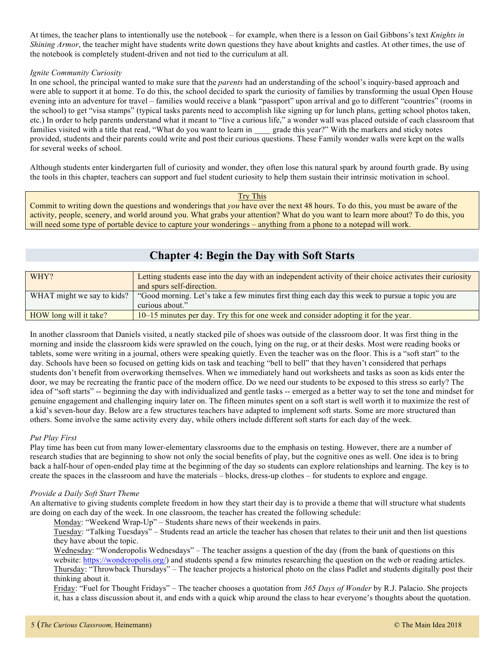At times, the teacher plans to intentionally use the notebook – for example, when there is a lesson on Gail Gibbons's text *Knights in Shining Armor*, the teacher might have students write down questions they have about knights and castles. At other times, the use of the notebook is completely student-driven and not tied to the curriculum at all.

#### *Ignite Community Curiosity*

In one school, the principal wanted to make sure that the *parents* had an understanding of the school's inquiry-based approach and were able to support it at home. To do this, the school decided to spark the curiosity of families by transforming the usual Open House evening into an adventure for travel – families would receive a blank "passport" upon arrival and go to different "countries" (rooms in the school) to get "visa stamps" (typical tasks parents need to accomplish like signing up for lunch plans, getting school photos taken, etc.) In order to help parents understand what it meant to "live a curious life," a wonder wall was placed outside of each classroom that families visited with a title that read, "What do you want to learn in grade this year?" With the markers and sticky notes provided, students and their parents could write and post their curious questions. These Family wonder walls were kept on the walls for several weeks of school.

Although students enter kindergarten full of curiosity and wonder, they often lose this natural spark by around fourth grade. By using the tools in this chapter, teachers can support and fuel student curiosity to help them sustain their intrinsic motivation in school.

Try This

Commit to writing down the questions and wonderings that *you* have over the next 48 hours. To do this, you must be aware of the activity, people, scenery, and world around you. What grabs your attention? What do you want to learn more about? To do this, you will need some type of portable device to capture your wonderings – anything from a phone to a notepad will work.

## **Chapter 4: Begin the Day with Soft Starts**

| WHY?                       | Letting students ease into the day with an independent activity of their choice activates their curiosity |
|----------------------------|-----------------------------------------------------------------------------------------------------------|
|                            | and spurs self-direction.                                                                                 |
| WHAT might we say to kids? | "Good morning. Let's take a few minutes first thing each day this week to pursue a topic you are          |
|                            | curious about."                                                                                           |
| HOW long will it take?     | 10–15 minutes per day. Try this for one week and consider adopting it for the year.                       |

In another classroom that Daniels visited, a neatly stacked pile of shoes was outside of the classroom door. It was first thing in the morning and inside the classroom kids were sprawled on the couch, lying on the rug, or at their desks. Most were reading books or tablets, some were writing in a journal, others were speaking quietly. Even the teacher was on the floor. This is a "soft start" to the day. Schools have been so focused on getting kids on task and teaching "bell to bell" that they haven't considered that perhaps students don't benefit from overworking themselves. When we immediately hand out worksheets and tasks as soon as kids enter the door, we may be recreating the frantic pace of the modern office. Do we need our students to be exposed to this stress so early? The idea of "soft starts" -- beginning the day with individualized and gentle tasks -- emerged as a better way to set the tone and mindset for genuine engagement and challenging inquiry later on. The fifteen minutes spent on a soft start is well worth it to maximize the rest of a kid's seven-hour day. Below are a few structures teachers have adapted to implement soft starts. Some are more structured than others. Some involve the same activity every day, while others include different soft starts for each day of the week.

#### *Put Play First*

Play time has been cut from many lower-elementary classrooms due to the emphasis on testing. However, there are a number of research studies that are beginning to show not only the social benefits of play, but the cognitive ones as well. One idea is to bring back a half-hour of open-ended play time at the beginning of the day so students can explore relationships and learning. The key is to create the spaces in the classroom and have the materials – blocks, dress-up clothes – for students to explore and engage.

#### *Provide a Daily Soft Start Theme*

An alternative to giving students complete freedom in how they start their day is to provide a theme that will structure what students are doing on each day of the week. In one classroom, the teacher has created the following schedule:

Monday: "Weekend Wrap-Up" – Students share news of their weekends in pairs.

Tuesday: "Talking Tuesdays" – Students read an article the teacher has chosen that relates to their unit and then list questions they have about the topic.

Wednesday: "Wonderopolis Wednesdays" – The teacher assigns a question of the day (from the bank of questions on this website: https://wonderopolis.org/) and students spend a few minutes researching the question on the web or reading articles. Thursday: "Throwback Thursdays" – The teacher projects a historical photo on the class Padlet and students digitally post their thinking about it.

Friday: "Fuel for Thought Fridays" – The teacher chooses a quotation from *365 Days of Wonder* by R.J. Palacio. She projects it, has a class discussion about it, and ends with a quick whip around the class to hear everyone's thoughts about the quotation.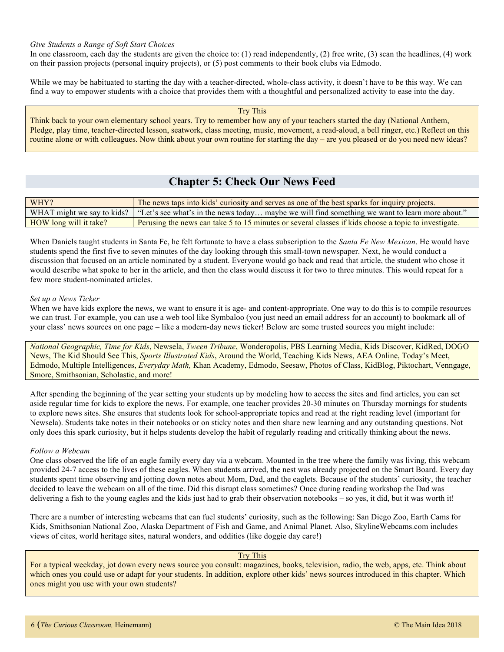#### *Give Students a Range of Soft Start Choices*

In one classroom, each day the students are given the choice to: (1) read independently, (2) free write, (3) scan the headlines, (4) work on their passion projects (personal inquiry projects), or (5) post comments to their book clubs via Edmodo.

While we may be habituated to starting the day with a teacher-directed, whole-class activity, it doesn't have to be this way. We can find a way to empower students with a choice that provides them with a thoughtful and personalized activity to ease into the day.

Try This Think back to your own elementary school years. Try to remember how any of your teachers started the day (National Anthem, Pledge, play time, teacher-directed lesson, seatwork, class meeting, music, movement, a read-aloud, a bell ringer, etc.) Reflect on this routine alone or with colleagues. Now think about your own routine for starting the day – are you pleased or do you need new ideas?

## **Chapter 5: Check Our News Feed**

| WHY?                   | The news taps into kids' curiosity and serves as one of the best sparks for inquiry projects.                               |
|------------------------|-----------------------------------------------------------------------------------------------------------------------------|
|                        | WHAT might we say to kids?   "Let's see what's in the news today maybe we will find something we want to learn more about." |
| HOW long will it take? | Perusing the news can take 5 to 15 minutes or several classes if kids choose a topic to investigate.                        |

When Daniels taught students in Santa Fe, he felt fortunate to have a class subscription to the *Santa Fe New Mexican*. He would have students spend the first five to seven minutes of the day looking through this small-town newspaper. Next, he would conduct a discussion that focused on an article nominated by a student. Everyone would go back and read that article, the student who chose it would describe what spoke to her in the article, and then the class would discuss it for two to three minutes. This would repeat for a few more student-nominated articles.

#### *Set up a News Ticker*

When we have kids explore the news, we want to ensure it is age- and content-appropriate. One way to do this is to compile resources we can trust. For example, you can use a web tool like Symbaloo (you just need an email address for an account) to bookmark all of your class' news sources on one page – like a modern-day news ticker! Below are some trusted sources you might include:

*National Geographic, Time for Kids*, Newsela, *Tween Tribune*, Wonderopolis, PBS Learning Media, Kids Discover, KidRed, DOGO News, The Kid Should See This, *Sports Illustrated Kids*, Around the World, Teaching Kids News, AEA Online, Today's Meet, Edmodo, Multiple Intelligences, *Everyday Math,* Khan Academy, Edmodo, Seesaw, Photos of Class, KidBlog, Piktochart, Venngage, Smore, Smithsonian, Scholastic, and more!

After spending the beginning of the year setting your students up by modeling how to access the sites and find articles, you can set aside regular time for kids to explore the news. For example, one teacher provides 20-30 minutes on Thursday mornings for students to explore news sites. She ensures that students look for school-appropriate topics and read at the right reading level (important for Newsela). Students take notes in their notebooks or on sticky notes and then share new learning and any outstanding questions. Not only does this spark curiosity, but it helps students develop the habit of regularly reading and critically thinking about the news.

#### *Follow a Webcam*

One class observed the life of an eagle family every day via a webcam. Mounted in the tree where the family was living, this webcam provided 24-7 access to the lives of these eagles. When students arrived, the nest was already projected on the Smart Board. Every day students spent time observing and jotting down notes about Mom, Dad, and the eaglets. Because of the students' curiosity, the teacher decided to leave the webcam on all of the time. Did this disrupt class sometimes? Once during reading workshop the Dad was delivering a fish to the young eagles and the kids just had to grab their observation notebooks – so yes, it did, but it was worth it!

There are a number of interesting webcams that can fuel students' curiosity, such as the following: San Diego Zoo, Earth Cams for Kids, Smithsonian National Zoo, Alaska Department of Fish and Game, and Animal Planet. Also, SkylineWebcams.com includes views of cites, world heritage sites, natural wonders, and oddities (like doggie day care!)

#### Try This

For a typical weekday, jot down every news source you consult: magazines, books, television, radio, the web, apps, etc. Think about which ones you could use or adapt for your students. In addition, explore other kids' news sources introduced in this chapter. Which ones might you use with your own students?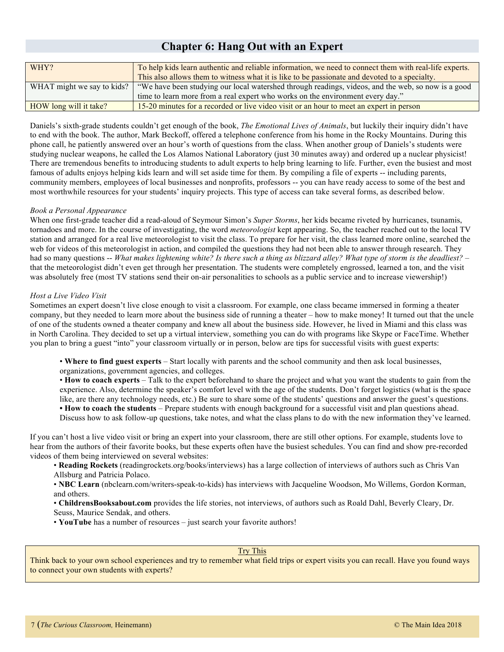### **Chapter 6: Hang Out with an Expert**

| To help kids learn authentic and reliable information, we need to connect them with real-life experts. |
|--------------------------------------------------------------------------------------------------------|
| This also allows them to witness what it is like to be passionate and devoted to a specialty.          |
| "We have been studying our local watershed through readings, videos, and the web, so now is a good     |
| time to learn more from a real expert who works on the environment every day."                         |
| 15-20 minutes for a recorded or live video visit or an hour to meet an expert in person                |
|                                                                                                        |

Daniels's sixth-grade students couldn't get enough of the book, *The Emotional Lives of Animals*, but luckily their inquiry didn't have to end with the book. The author, Mark Beckoff, offered a telephone conference from his home in the Rocky Mountains. During this phone call, he patiently answered over an hour's worth of questions from the class. When another group of Daniels's students were studying nuclear weapons, he called the Los Alamos National Laboratory (just 30 minutes away) and ordered up a nuclear physicist! There are tremendous benefits to introducing students to adult experts to help bring learning to life. Further, even the busiest and most famous of adults enjoys helping kids learn and will set aside time for them. By compiling a file of experts -- including parents, community members, employees of local businesses and nonprofits, professors -- you can have ready access to some of the best and most worthwhile resources for your students' inquiry projects. This type of access can take several forms, as described below.

#### *Book a Personal Appearance*

When one first-grade teacher did a read-aloud of Seymour Simon's *Super Storms*, her kids became riveted by hurricanes, tsunamis, tornadoes and more. In the course of investigating, the word *meteorologist* kept appearing. So, the teacher reached out to the local TV station and arranged for a real live meteorologist to visit the class. To prepare for her visit, the class learned more online, searched the web for videos of this meteorologist in action, and compiled the questions they had not been able to answer through research. They had so many questions -- *What makes lightening white? Is there such a thing as blizzard alley? What type of storm is the deadliest?* – that the meteorologist didn't even get through her presentation. The students were completely engrossed, learned a ton, and the visit was absolutely free (most TV stations send their on-air personalities to schools as a public service and to increase viewership!)

#### *Host a Live Video Visit*

Sometimes an expert doesn't live close enough to visit a classroom. For example, one class became immersed in forming a theater company, but they needed to learn more about the business side of running a theater – how to make money! It turned out that the uncle of one of the students owned a theater company and knew all about the business side. However, he lived in Miami and this class was in North Carolina. They decided to set up a virtual interview, something you can do with programs like Skype or FaceTime. Whether you plan to bring a guest "into" your classroom virtually or in person, below are tips for successful visits with guest experts:

• **Where to find guest experts** – Start locally with parents and the school community and then ask local businesses,

organizations, government agencies, and colleges.

• **How to coach experts** – Talk to the expert beforehand to share the project and what you want the students to gain from the experience. Also, determine the speaker's comfort level with the age of the students. Don't forget logistics (what is the space like, are there any technology needs, etc.) Be sure to share some of the students' questions and answer the guest's questions. **• How to coach the students** – Prepare students with enough background for a successful visit and plan questions ahead. Discuss how to ask follow-up questions, take notes, and what the class plans to do with the new information they've learned.

If you can't host a live video visit or bring an expert into your classroom, there are still other options. For example, students love to hear from the authors of their favorite books, but these experts often have the busiest schedules. You can find and show pre-recorded videos of them being interviewed on several websites:

• **Reading Rockets** (readingrockets.org/books/interviews) has a large collection of interviews of authors such as Chris Van Allsburg and Patricia Polaco.

• **NBC Learn** (nbclearn.com/writers-speak-to-kids) has interviews with Jacqueline Woodson, Mo Willems, Gordon Korman, and others.

• **ChildrensBooksabout.com** provides the life stories, not interviews, of authors such as Roald Dahl, Beverly Cleary, Dr. Seuss, Maurice Sendak, and others.

• **YouTube** has a number of resources – just search your favorite authors!

#### Try This

Think back to your own school experiences and try to remember what field trips or expert visits you can recall. Have you found ways to connect your own students with experts?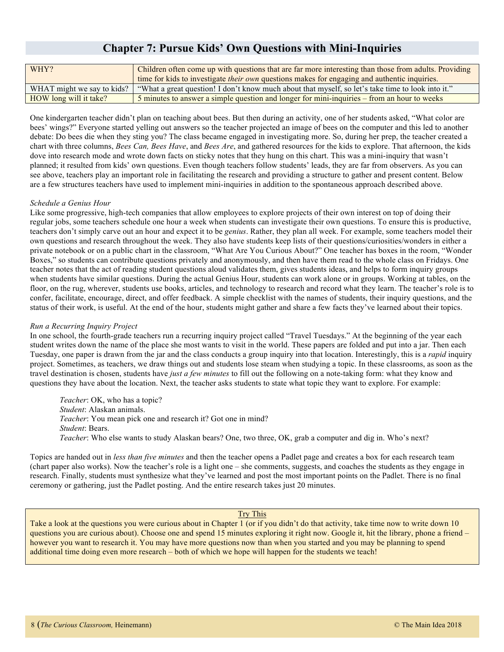## **Chapter 7: Pursue Kids' Own Questions with Mini-Inquiries**

| WHY?                       | Children often come up with questions that are far more interesting than those from adults. Providing |
|----------------------------|-------------------------------------------------------------------------------------------------------|
|                            | time for kids to investigate <i>their own</i> questions makes for engaging and authentic inquiries.   |
| WHAT might we say to kids? | "What a great question! I don't know much about that myself, so let's take time to look into it."     |
| HOW long will it take?     | 5 minutes to answer a simple question and longer for mini-inquiries – from an hour to weeks           |

One kindergarten teacher didn't plan on teaching about bees. But then during an activity, one of her students asked, "What color are bees' wings?" Everyone started yelling out answers so the teacher projected an image of bees on the computer and this led to another debate: Do bees die when they sting you? The class became engaged in investigating more. So, during her prep, the teacher created a chart with three columns, *Bees Can, Bees Have*, and *Bees Are*, and gathered resources for the kids to explore. That afternoon, the kids dove into research mode and wrote down facts on sticky notes that they hung on this chart. This was a mini-inquiry that wasn't planned; it resulted from kids' own questions. Even though teachers follow students' leads, they are far from observers. As you can see above, teachers play an important role in facilitating the research and providing a structure to gather and present content. Below are a few structures teachers have used to implement mini-inquiries in addition to the spontaneous approach described above.

#### *Schedule a Genius Hour*

Like some progressive, high-tech companies that allow employees to explore projects of their own interest on top of doing their regular jobs, some teachers schedule one hour a week when students can investigate their own questions. To ensure this is productive, teachers don't simply carve out an hour and expect it to be *genius*. Rather, they plan all week. For example, some teachers model their own questions and research throughout the week. They also have students keep lists of their questions/curiosities/wonders in either a private notebook or on a public chart in the classroom, "What Are You Curious About?" One teacher has boxes in the room, "Wonder Boxes," so students can contribute questions privately and anonymously, and then have them read to the whole class on Fridays. One teacher notes that the act of reading student questions aloud validates them, gives students ideas, and helps to form inquiry groups when students have similar questions. During the actual Genius Hour, students can work alone or in groups. Working at tables, on the floor, on the rug, wherever, students use books, articles, and technology to research and record what they learn. The teacher's role is to confer, facilitate, encourage, direct, and offer feedback. A simple checklist with the names of students, their inquiry questions, and the status of their work, is useful. At the end of the hour, students might gather and share a few facts they've learned about their topics.

#### *Run a Recurring Inquiry Project*

In one school, the fourth-grade teachers run a recurring inquiry project called "Travel Tuesdays." At the beginning of the year each student writes down the name of the place she most wants to visit in the world. These papers are folded and put into a jar. Then each Tuesday, one paper is drawn from the jar and the class conducts a group inquiry into that location. Interestingly, this is a *rapid* inquiry project. Sometimes, as teachers, we draw things out and students lose steam when studying a topic. In these classrooms, as soon as the travel destination is chosen, students have *just a few minutes* to fill out the following on a note-taking form: what they know and questions they have about the location. Next, the teacher asks students to state what topic they want to explore. For example:

*Teacher*: OK, who has a topic? *Student*: Alaskan animals. *Teacher*: You mean pick one and research it? Got one in mind? *Student*: Bears. *Teacher*: Who else wants to study Alaskan bears? One, two three, OK, grab a computer and dig in. Who's next?

Topics are handed out in *less than five minutes* and then the teacher opens a Padlet page and creates a box for each research team (chart paper also works). Now the teacher's role is a light one – she comments, suggests, and coaches the students as they engage in research. Finally, students must synthesize what they've learned and post the most important points on the Padlet. There is no final ceremony or gathering, just the Padlet posting. And the entire research takes just 20 minutes.

#### Try This

Take a look at the questions you were curious about in Chapter 1 (or if you didn't do that activity, take time now to write down 10 questions you are curious about). Choose one and spend 15 minutes exploring it right now. Google it, hit the library, phone a friend – however you want to research it. You may have more questions now than when you started and you may be planning to spend additional time doing even more research – both of which we hope will happen for the students we teach!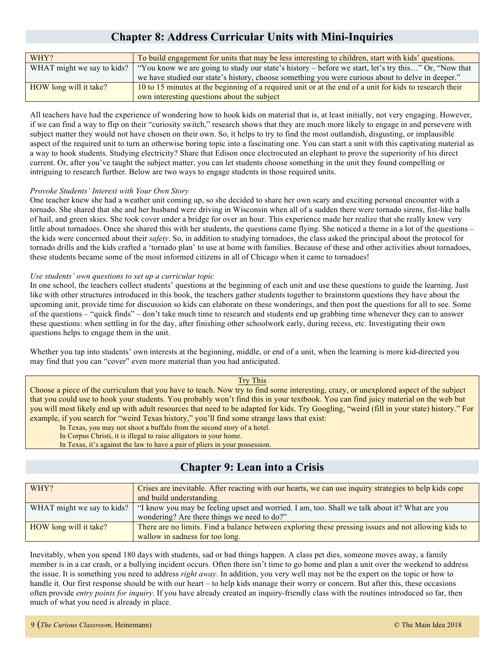## **Chapter 8: Address Curricular Units with Mini-Inquiries**

| WHY?                       | To build engagement for units that may be less interesting to children, start with kids' questions.     |  |
|----------------------------|---------------------------------------------------------------------------------------------------------|--|
| WHAT might we say to kids? | "You know we are going to study our state's history – before we start, let's try this" Or, "Now that    |  |
|                            | we have studied our state's history, choose something you were curious about to delve in deeper."       |  |
| HOW long will it take?     | 10 to 15 minutes at the beginning of a required unit or at the end of a unit for kids to research their |  |
|                            | own interesting questions about the subject                                                             |  |

All teachers have had the experience of wondering how to hook kids on material that is, at least initially, not very engaging. However, if we can find a way to flip on their "curiosity switch," research shows that they are much more likely to engage in and persevere with subject matter they would not have chosen on their own. So, it helps to try to find the most outlandish, disgusting, or implausible aspect of the required unit to turn an otherwise boring topic into a fascinating one. You can start a unit with this captivating material as a way to hook students. Studying electricity? Share that Edison once electrocuted an elephant to prove the superiority of his direct current. Or, after you've taught the subject matter, you can let students choose something in the unit they found compelling or intriguing to research further. Below are two ways to engage students in those required units.

#### *Provoke Students' Interest with Your Own Story*

One teacher knew she had a weather unit coming up, so she decided to share her own scary and exciting personal encounter with a tornado. She shared that she and her husband were driving in Wisconsin when all of a sudden there were tornado sirens, fist-like balls of hail, and green skies. She took cover under a bridge for over an hour. This experience made her realize that she really knew very little about tornadoes. Once she shared this with her students, the questions came flying. She noticed a theme in a lot of the questions – the kids were concerned about their *safety*. So, in addition to studying tornadoes, the class asked the principal about the protocol for tornado drills and the kids crafted a 'tornado plan' to use at home with families. Because of these and other activities about tornadoes, these students became some of the most informed citizens in all of Chicago when it came to tornadoes!

#### *Use students' own questions to set up a curricular topic*

In one school, the teachers collect students' questions at the beginning of each unit and use these questions to guide the learning. Just like with other structures introduced in this book, the teachers gather students together to brainstorm questions they have about the upcoming unit, provide time for discussion so kids can elaborate on these wonderings, and then post the questions for all to see. Some of the questions – "quick finds" – don't take much time to research and students end up grabbing time whenever they can to answer these questions: when settling in for the day, after finishing other schoolwork early, during recess, etc. Investigating their own questions helps to engage them in the unit.

Whether you tap into students' own interests at the beginning, middle, or end of a unit, when the learning is more kid-directed you may find that you can "cover" even more material than you had anticipated.

#### Try This

Choose a piece of the curriculum that you have to teach. Now try to find some interesting, crazy, or unexplored aspect of the subject that you could use to hook your students. You probably won't find this in your textbook. You can find juicy material on the web but you will most likely end up with adult resources that need to be adapted for kids. Try Googling, "weird (fill in your state) history." For example, if you search for "weird Texas history," you'll find some strange laws that exist:

In Texas, you may not shoot a buffalo from the second story of a hotel.

In Corpus Christi, it is illegal to raise alligators in your home.

In Texas, it's against the law to have a pair of pliers in your possession.

### **Chapter 9: Lean into a Crisis**

| WHY?                       | Crises are inevitable. After reacting with our hearts, we can use inquiry strategies to help kids cope |
|----------------------------|--------------------------------------------------------------------------------------------------------|
|                            | and build understanding.                                                                               |
| WHAT might we say to kids? | "I know you may be feeling upset and worried. I am, too. Shall we talk about it? What are you          |
|                            | wondering? Are there things we need to do?"                                                            |
| HOW long will it take?     | There are no limits. Find a balance between exploring these pressing issues and not allowing kids to   |
|                            | wallow in sadness for too long.                                                                        |

Inevitably, when you spend 180 days with students, sad or bad things happen. A class pet dies, someone moves away, a family member is in a car crash, or a bullying incident occurs. Often there isn't time to go home and plan a unit over the weekend to address the issue. It is something you need to address *right away*. In addition, you very well may not be the expert on the topic or how to handle it. Our first response should be with our heart – to help kids manage their worry or concern. But after this, these occasions often provide *entry points for inquiry*. If you have already created an inquiry-friendly class with the routines introduced so far, then much of what you need is already in place.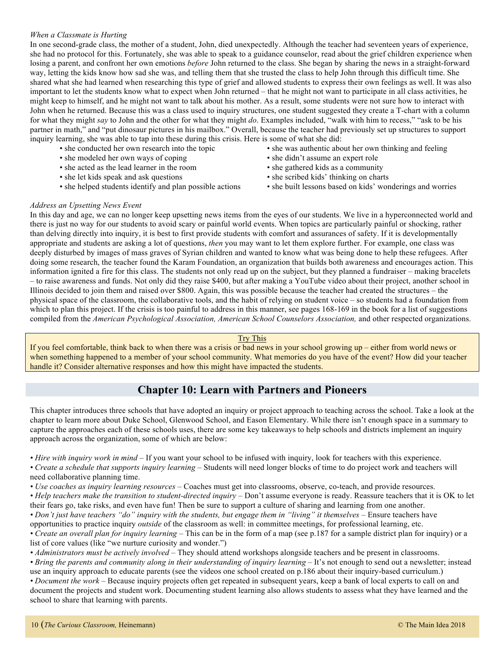#### *When a Classmate is Hurting*

In one second-grade class, the mother of a student, John, died unexpectedly. Although the teacher had seventeen years of experience, she had no protocol for this. Fortunately, she was able to speak to a guidance counselor, read about the grief children experience when losing a parent, and confront her own emotions *before* John returned to the class. She began by sharing the news in a straight-forward way, letting the kids know how sad she was, and telling them that she trusted the class to help John through this difficult time. She shared what she had learned when researching this type of grief and allowed students to express their own feelings as well. It was also important to let the students know what to expect when John returned – that he might not want to participate in all class activities, he might keep to himself, and he might not want to talk about his mother. As a result, some students were not sure how to interact with John when he returned. Because this was a class used to inquiry structures, one student suggested they create a T-chart with a column for what they might *say* to John and the other for what they might *do*. Examples included, "walk with him to recess," "ask to be his partner in math," and "put dinosaur pictures in his mailbox." Overall, because the teacher had previously set up structures to support inquiry learning, she was able to tap into these during this crisis. Here is some of what she did:

- 
- she modeled her own ways of coping she didn't assume an expert role
- she acted as the lead learner in the room she gathered kids as a community
- she let kids speak and ask questions she scribed kids' thinking on charts
- 
- she conducted her own research into the topic she was authentic about her own thinking and feeling
	-
	-
	-
- she helped students identify and plan possible actions she built lessons based on kids' wonderings and worries

#### *Address an Upsetting News Event*

In this day and age, we can no longer keep upsetting news items from the eyes of our students. We live in a hyperconnected world and there is just no way for our students to avoid scary or painful world events. When topics are particularly painful or shocking, rather than delving directly into inquiry, it is best to first provide students with comfort and assurances of safety. If it is developmentally appropriate and students are asking a lot of questions, *then* you may want to let them explore further. For example, one class was deeply disturbed by images of mass graves of Syrian children and wanted to know what was being done to help these refugees. After doing some research, the teacher found the Karam Foundation, an organization that builds both awareness and encourages action. This information ignited a fire for this class. The students not only read up on the subject, but they planned a fundraiser – making bracelets – to raise awareness and funds. Not only did they raise \$400, but after making a YouTube video about their project, another school in Illinois decided to join them and raised over \$800. Again, this was possible because the teacher had created the structures – the physical space of the classroom, the collaborative tools, and the habit of relying on student voice – so students had a foundation from which to plan this project. If the crisis is too painful to address in this manner, see pages 168-169 in the book for a list of suggestions compiled from the *American Psychological Association, American School Counselors Association,* and other respected organizations.

#### Try This

If you feel comfortable, think back to when there was a crisis or bad news in your school growing up – either from world news or when something happened to a member of your school community. What memories do you have of the event? How did your teacher handle it? Consider alternative responses and how this might have impacted the students.

## **Chapter 10: Learn with Partners and Pioneers**

This chapter introduces three schools that have adopted an inquiry or project approach to teaching across the school. Take a look at the chapter to learn more about Duke School, Glenwood School, and Eason Elementary. While there isn't enough space in a summary to capture the approaches each of these schools uses, there are some key takeaways to help schools and districts implement an inquiry approach across the organization, some of which are below:

*• Hire with inquiry work in mind* – If you want your school to be infused with inquiry, look for teachers with this experience.

*• Create a schedule that supports inquiry learning* – Students will need longer blocks of time to do project work and teachers will need collaborative planning time.

*• Use coaches as inquiry learning resources* – Coaches must get into classrooms, observe, co-teach, and provide resources.

*• Help teachers make the transition to student-directed inquiry* – Don't assume everyone is ready. Reassure teachers that it is OK to let their fears go, take risks, and even have fun! Then be sure to support a culture of sharing and learning from one another.

*• Don't just have teachers "do" inquiry with the students, but engage them in "living" it themselves* – Ensure teachers have

opportunities to practice inquiry *outside* of the classroom as well: in committee meetings, for professional learning, etc.

*• Create an overall plan for inquiry learning* – This can be in the form of a map (see p.187 for a sample district plan for inquiry) or a list of core values (like "we nurture curiosity and wonder.")

*• Administrators must be actively involved* – They should attend workshops alongside teachers and be present in classrooms.

• Bring the parents and community along in their understanding of inquiry learning – It's not enough to send out a newsletter; instead use an inquiry approach to educate parents (see the videos one school created on p.186 about their inquiry-based curriculum.)

*• Document the work* – Because inquiry projects often get repeated in subsequent years, keep a bank of local experts to call on and document the projects and student work. Documenting student learning also allows students to assess what they have learned and the school to share that learning with parents.